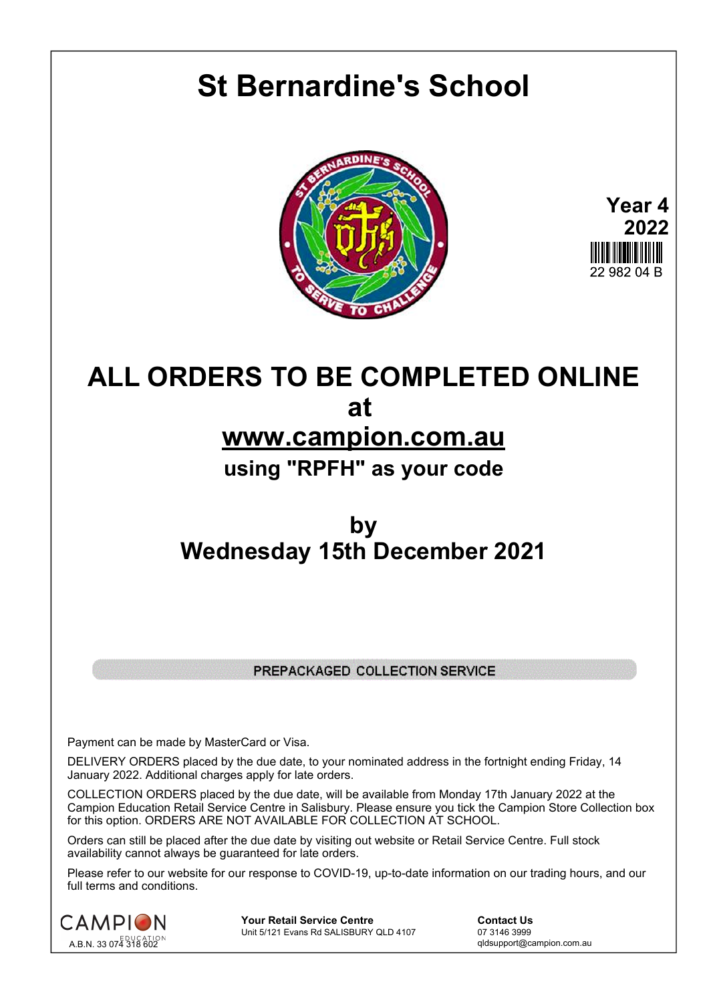## **St Bernardine's School**





## **ALL ORDERS TO BE COMPLETED ONLINE at www.campion.com.au using "RPFH" as your code**

## **by Wednesday 15th December 2021**

## PREPACKAGED COLLECTION SERVICE

Payment can be made by MasterCard or Visa.

DELIVERY ORDERS placed by the due date, to your nominated address in the fortnight ending Friday, 14 January 2022. Additional charges apply for late orders.

COLLECTION ORDERS placed by the due date, will be available from Monday 17th January 2022 at the Campion Education Retail Service Centre in Salisbury. Please ensure you tick the Campion Store Collection box for this option. ORDERS ARE NOT AVAILABLE FOR COLLECTION AT SCHOOL.

Orders can still be placed after the due date by visiting out website or Retail Service Centre. Full stock availability cannot always be guaranteed for late orders.

Please refer to our website for our response to COVID-19, up-to-date information on our trading hours, and our full terms and conditions.



**Your Retail Service Centre Contact Us**<br>
Unit 5/121 Evans Rd SALISBURY QLD 4107

07 3146 3999 Unit 5/121 Evans Rd SALISBURY QLD 4107

qldsupport@campion.com.au